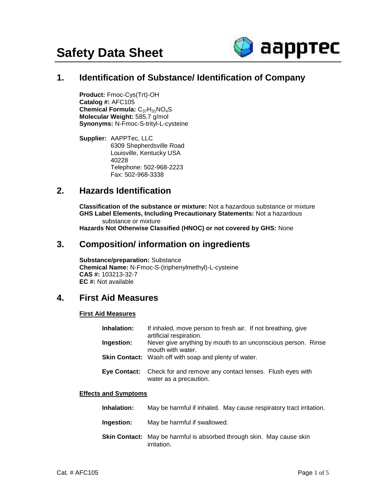

# **1. Identification of Substance/ Identification of Company**

**Product:** Fmoc-Cys(Trt)-OH **Catalog #:** AFC105 Chemical Formula: C<sub>37</sub>H<sub>31</sub>NO<sub>4</sub>S **Molecular Weight:** 585.7 g/mol **Synonyms:** N-Fmoc-S-trityl-L-cysteine

**Supplier:** AAPPTec, LLC 6309 Shepherdsville Road Louisville, Kentucky USA 40228 Telephone: 502-968-2223 Fax: 502-968-3338

# **2. Hazards Identification**

**Classification of the substance or mixture:** Not a hazardous substance or mixture  **GHS Label Elements, Including Precautionary Statements:** Not a hazardous substance or mixture

**Hazards Not Otherwise Classified (HNOC) or not covered by GHS:** None

# **3. Composition/ information on ingredients**

**Substance/preparation:** Substance **Chemical Name:** N-Fmoc-S-(triphenylmethyl)-L-cysteine **CAS #:** 103213-32-7 **EC #:** Not available

# **4. First Aid Measures**

#### **First Aid Measures**

| Inhalation:  | If inhaled, move person to fresh air. If not breathing, give<br>artificial respiration. |  |
|--------------|-----------------------------------------------------------------------------------------|--|
| Ingestion:   | Never give anything by mouth to an unconscious person. Rinse<br>mouth with water.       |  |
|              | <b>Skin Contact:</b> Wash off with soap and plenty of water.                            |  |
| Eye Contact: | Check for and remove any contact lenses. Flush eyes with<br>water as a precaution.      |  |

#### **Effects and Symptoms**

| <b>Inhalation:</b> | May be harmful if inhaled. May cause respiratory tract irritation. |
|--------------------|--------------------------------------------------------------------|
|                    |                                                                    |

- **Ingestion:** May be harmful if swallowed.
- **Skin Contact:** May be harmful is absorbed through skin. May cause skin irritation.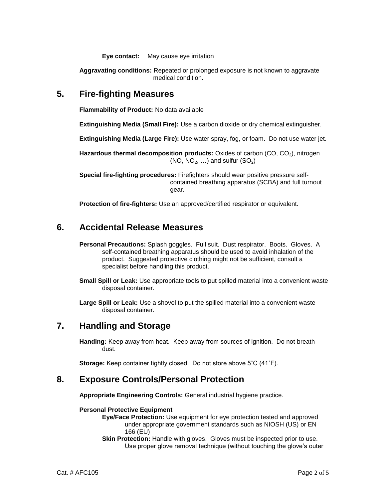**Eye contact:** May cause eye irritation

**Aggravating conditions:** Repeated or prolonged exposure is not known to aggravate medical condition.

## **5. Fire-fighting Measures**

**Flammability of Product:** No data available

**Extinguishing Media (Small Fire):** Use a carbon dioxide or dry chemical extinguisher.

**Extinguishing Media (Large Fire):** Use water spray, fog, or foam. Do not use water jet.

**Hazardous thermal decomposition products:** Oxides of carbon (CO, CO<sub>2</sub>), nitrogen  $(NO, NO<sub>2</sub>, ...)$  and sulfur  $(SO<sub>2</sub>)$ 

**Special fire-fighting procedures:** Firefighters should wear positive pressure selfcontained breathing apparatus (SCBA) and full turnout gear.

**Protection of fire-fighters:** Use an approved/certified respirator or equivalent.

## **6. Accidental Release Measures**

**Personal Precautions:** Splash goggles. Full suit. Dust respirator. Boots. Gloves. A self-contained breathing apparatus should be used to avoid inhalation of the product. Suggested protective clothing might not be sufficient, consult a specialist before handling this product.

**Small Spill or Leak:** Use appropriate tools to put spilled material into a convenient waste disposal container.

**Large Spill or Leak:** Use a shovel to put the spilled material into a convenient waste disposal container.

## **7. Handling and Storage**

**Handing:** Keep away from heat. Keep away from sources of ignition. Do not breath dust.

**Storage:** Keep container tightly closed. Do not store above 5˚C (41˚F).

## **8. Exposure Controls/Personal Protection**

**Appropriate Engineering Controls:** General industrial hygiene practice.

#### **Personal Protective Equipment**

**Eye/Face Protection:** Use equipment for eye protection tested and approved under appropriate government standards such as NIOSH (US) or EN 166 (EU)

**Skin Protection:** Handle with gloves. Gloves must be inspected prior to use. Use proper glove removal technique (without touching the glove's outer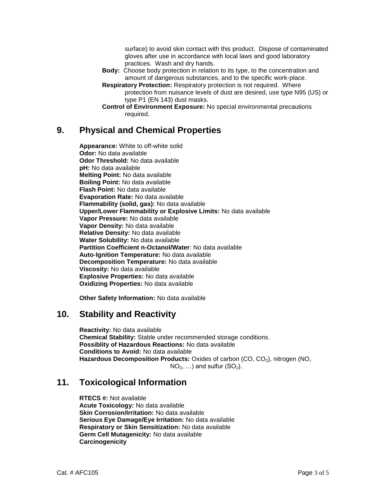surface) to avoid skin contact with this product. Dispose of contaminated gloves after use in accordance with local laws and good laboratory practices. Wash and dry hands.

- **Body:** Choose body protection in relation to its type, to the concentration and amount of dangerous substances, and to the specific work-place.
- **Respiratory Protection:** Respiratory protection is not required. Where protection from nuisance levels of dust are desired, use type N95 (US) or type P1 (EN 143) dust masks.
- **Control of Environment Exposure:** No special environmental precautions required.

# **9. Physical and Chemical Properties**

**Appearance:** White to off-white solid **Odor:** No data available **Odor Threshold:** No data available **pH:** No data available **Melting Point:** No data available **Boiling Point:** No data available **Flash Point:** No data available **Evaporation Rate:** No data available **Flammability (solid, gas):** No data available **Upper/Lower Flammability or Explosive Limits:** No data available **Vapor Pressure:** No data available **Vapor Density:** No data available **Relative Density:** No data available **Water Solubility:** No data available **Partition Coefficient n-Octanol/Water**: No data available **Auto**-**Ignition Temperature:** No data available **Decomposition Temperature:** No data available **Viscosity:** No data available **Explosive Properties:** No data available **Oxidizing Properties:** No data available

**Other Safety Information:** No data available

# **10. Stability and Reactivity**

**Reactivity:** No data available **Chemical Stability:** Stable under recommended storage conditions. **Possiblity of Hazardous Reactions:** No data available **Conditions to Avoid:** No data available Hazardous Decomposition Products: Oxides of carbon (CO, CO<sub>2</sub>), nitrogen (NO,  $NO<sub>2</sub>, ...$ ) and sulfur  $(SO<sub>2</sub>)$ .

# **11. Toxicological Information**

**RTECS #:** Not available **Acute Toxicology:** No data available **Skin Corrosion/Irritation:** No data available **Serious Eye Damage/Eye Irritation:** No data available **Respiratory or Skin Sensitization:** No data available **Germ Cell Mutagenicity:** No data available **Carcinogenicity**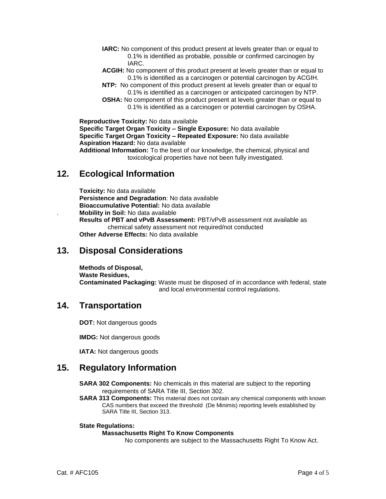- **IARC:** No component of this product present at levels greater than or equal to 0.1% is identified as probable, possible or confirmed carcinogen by IARC.
- **ACGIH:** No component of this product present at levels greater than or equal to 0.1% is identified as a carcinogen or potential carcinogen by ACGIH.
- **NTP:** No component of this product present at levels greater than or equal to 0.1% is identified as a carcinogen or anticipated carcinogen by NTP.
- **OSHA:** No component of this product present at levels greater than or equal to 0.1% is identified as a carcinogen or potential carcinogen by OSHA.

**Reproductive Toxicity:** No data available **Specific Target Organ Toxicity – Single Exposure:** No data available **Specific Target Organ Toxicity – Repeated Exposure:** No data available **Aspiration Hazard:** No data available **Additional Information:** To the best of our knowledge, the chemical, physical and toxicological properties have not been fully investigated.

# **12. Ecological Information**

**Toxicity:** No data available **Persistence and Degradation**: No data available **Bioaccumulative Potential:** No data available . **Mobility in Soil:** No data available **Results of PBT and vPvB Assessment:** PBT/vPvB assessment not available as chemical safety assessment not required/not conducted **Other Adverse Effects:** No data available

## **13. Disposal Considerations**

**Methods of Disposal, Waste Residues, Contaminated Packaging:** Waste must be disposed of in accordance with federal, state and local environmental control regulations.

# **14. Transportation**

**DOT:** Not dangerous goods

**IMDG:** Not dangerous goods

**IATA:** Not dangerous goods

# **15. Regulatory Information**

**SARA 302 Components:** No chemicals in this material are subject to the reporting requirements of SARA Title III, Section 302.

**SARA 313 Components:** This material does not contain any chemical components with known CAS numbers that exceed the threshold (De Minimis) reporting levels established by SARA Title III, Section 313.

#### **State Regulations:**

#### **Massachusetts Right To Know Components**

No components are subject to the Massachusetts Right To Know Act.